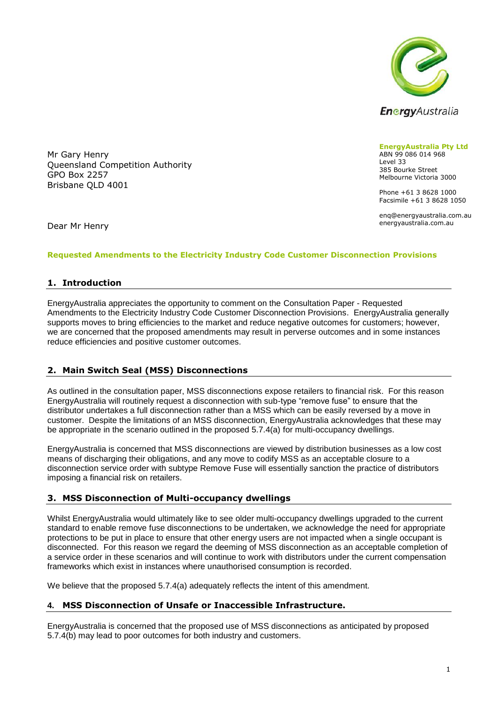

Mr Gary Henry Queensland Competition Authority GPO Box 2257 Brisbane QLD 4001

**EnergyAustralia Pty Ltd** ABN 99 086 014 968 Level 33 385 Bourke Street Melbourne Victoria 3000

Phone +61 3 8628 1000 Facsimile +61 3 8628 1050

enq@energyaustralia.com.au energyaustralia.com.au

Dear Mr Henry

### **Requested Amendments to the Electricity Industry Code Customer Disconnection Provisions**

## **1. Introduction**

EnergyAustralia appreciates the opportunity to comment on the Consultation Paper - Requested Amendments to the Electricity Industry Code Customer Disconnection Provisions. EnergyAustralia generally supports moves to bring efficiencies to the market and reduce negative outcomes for customers; however, we are concerned that the proposed amendments may result in perverse outcomes and in some instances reduce efficiencies and positive customer outcomes.

# **2. Main Switch Seal (MSS) Disconnections**

As outlined in the consultation paper, MSS disconnections expose retailers to financial risk. For this reason EnergyAustralia will routinely request a disconnection with sub-type "remove fuse" to ensure that the distributor undertakes a full disconnection rather than a MSS which can be easily reversed by a move in customer. Despite the limitations of an MSS disconnection, EnergyAustralia acknowledges that these may be appropriate in the scenario outlined in the proposed 5.7.4(a) for multi-occupancy dwellings.

EnergyAustralia is concerned that MSS disconnections are viewed by distribution businesses as a low cost means of discharging their obligations, and any move to codify MSS as an acceptable closure to a disconnection service order with subtype Remove Fuse will essentially sanction the practice of distributors imposing a financial risk on retailers.

# **3. MSS Disconnection of Multi-occupancy dwellings**

Whilst EnergyAustralia would ultimately like to see older multi-occupancy dwellings upgraded to the current standard to enable remove fuse disconnections to be undertaken, we acknowledge the need for appropriate protections to be put in place to ensure that other energy users are not impacted when a single occupant is disconnected. For this reason we regard the deeming of MSS disconnection as an acceptable completion of a service order in these scenarios and will continue to work with distributors under the current compensation frameworks which exist in instances where unauthorised consumption is recorded.

We believe that the proposed 5.7.4(a) adequately reflects the intent of this amendment.

### **4. MSS Disconnection of Unsafe or Inaccessible Infrastructure.**

EnergyAustralia is concerned that the proposed use of MSS disconnections as anticipated by proposed 5.7.4(b) may lead to poor outcomes for both industry and customers.